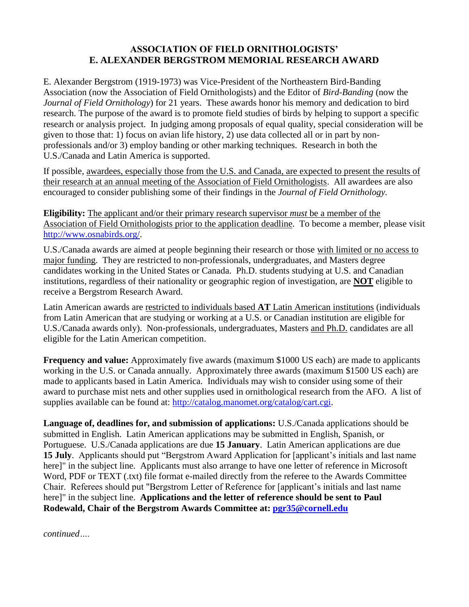## **ASSOCIATION OF FIELD ORNITHOLOGISTS' E. ALEXANDER BERGSTROM MEMORIAL RESEARCH AWARD**

E. Alexander Bergstrom (1919-1973) was Vice-President of the Northeastern Bird-Banding Association (now the Association of Field Ornithologists) and the Editor of *Bird-Banding* (now the *Journal of Field Ornithology*) for 21 years. These awards honor his memory and dedication to bird research. The purpose of the award is to promote field studies of birds by helping to support a specific research or analysis project. In judging among proposals of equal quality, special consideration will be given to those that: 1) focus on avian life history, 2) use data collected all or in part by nonprofessionals and/or 3) employ banding or other marking techniques. Research in both the U.S./Canada and Latin America is supported.

If possible, awardees, especially those from the U.S. and Canada, are expected to present the results of their research at an annual meeting of the Association of Field Ornithologists. All awardees are also encouraged to consider publishing some of their findings in the *Journal of Field Ornithology.*

**Eligibility:** The applicant and/or their primary research supervisor *must* be a member of the Association of Field Ornithologists prior to the application deadline. To become a member, please visit [http://www.osnabirds.org/.](http://www.osnabirds.org/)

U.S./Canada awards are aimed at people beginning their research or those with limited or no access to major funding. They are restricted to non-professionals, undergraduates, and Masters degree candidates working in the United States or Canada. Ph.D. students studying at U.S. and Canadian institutions, regardless of their nationality or geographic region of investigation, are **NOT** eligible to receive a Bergstrom Research Award.

Latin American awards are restricted to individuals based **AT** Latin American institutions (individuals from Latin American that are studying or working at a U.S. or Canadian institution are eligible for U.S./Canada awards only). Non-professionals, undergraduates, Masters and Ph.D. candidates are all eligible for the Latin American competition.

**Frequency and value:** Approximately five awards (maximum \$1000 US each) are made to applicants working in the U.S. or Canada annually. Approximately three awards (maximum \$1500 US each) are made to applicants based in Latin America. Individuals may wish to consider using some of their award to purchase mist nets and other supplies used in ornithological research from the AFO. A list of supplies available can be found at: [http://catalog.manomet.org/catalog/cart.cgi.](http://catalog.manomet.org/catalog/cart.cgi)

**Language of, deadlines for, and submission of applications:** U.S./Canada applications should be submitted in English. Latin American applications may be submitted in English, Spanish, or Portuguese. U.S./Canada applications are due **15 January**. Latin American applications are due 15 July. Applicants should put "Bergstrom Award Application for [applicant's initials and last name here]" in the subject line. Applicants must also arrange to have one letter of reference in Microsoft Word, PDF or TEXT (.txt) file format e-mailed directly from the referee to the Awards Committee Chair. Referees should put "Bergstrom Letter of Reference for [applicant's initials and last name here]" in the subject line. **Applications and the letter of reference should be sent to Paul Rodewald, Chair of the Bergstrom Awards Committee at: [pgr35@cornell.edu](mailto:pgr35@cornell.edu)**

*continued….*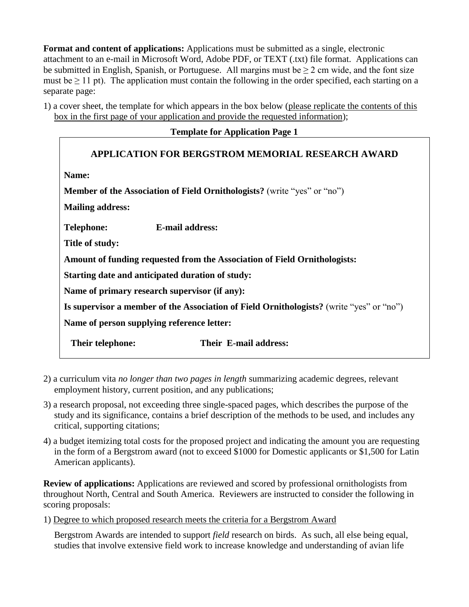**Format and content of applications:** Applications must be submitted as a single, electronic attachment to an e-mail in Microsoft Word, Adobe PDF, or TEXT (.txt) file format. Applications can be submitted in English, Spanish, or Portuguese. All margins must be  $\geq 2$  cm wide, and the font size must be  $\geq$  11 pt). The application must contain the following in the order specified, each starting on a separate page:

1) a cover sheet, the template for which appears in the box below (please replicate the contents of this box in the first page of your application and provide the requested information);

### **Template for Application Page 1**

# **APPLICATION FOR BERGSTROM MEMORIAL RESEARCH AWARD Name: Member of the Association of Field Ornithologists?** (write "yes" or "no") **Mailing address: Telephone: E-mail address: Title of study: Amount of funding requested from the Association of Field Ornithologists: Starting date and anticipated duration of study: Name of primary research supervisor (if any): Is supervisor a member of the Association of Field Ornithologists?** (write "yes" or "no") **Name of person supplying reference letter: Their telephone: Their E-mail address:**

- 2) a curriculum vita *no longer than two pages in length* summarizing academic degrees, relevant employment history, current position, and any publications;
- 3) a research proposal, not exceeding three single-spaced pages, which describes the purpose of the study and its significance, contains a brief description of the methods to be used, and includes any critical, supporting citations;
- 4) a budget itemizing total costs for the proposed project and indicating the amount you are requesting in the form of a Bergstrom award (not to exceed \$1000 for Domestic applicants or \$1,500 for Latin American applicants).

**Review of applications:** Applications are reviewed and scored by professional ornithologists from throughout North, Central and South America. Reviewers are instructed to consider the following in scoring proposals:

1) Degree to which proposed research meets the criteria for a Bergstrom Award

Bergstrom Awards are intended to support *field* research on birds. As such, all else being equal, studies that involve extensive field work to increase knowledge and understanding of avian life